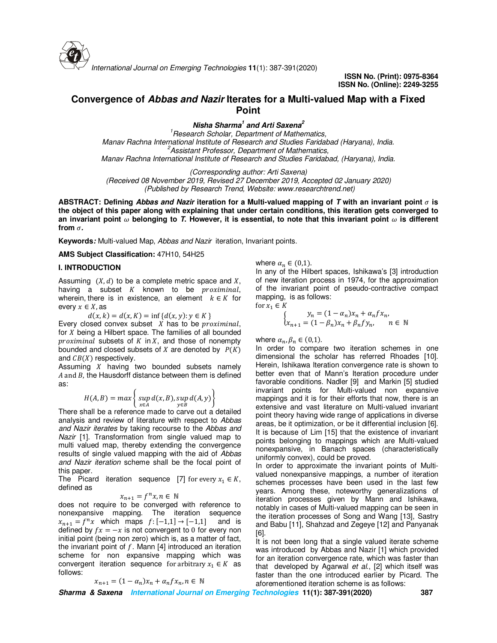

# **Convergence of** *Abbas and Nazir* **Iterates for a Multi-valued Map with a Fixed Point**

*Nisha Sharma<sup>1</sup> and Arti Saxena<sup>2</sup>*

*<sup>1</sup>Research Scholar, Department of Mathematics, Manav Rachna International Institute of Research and Studies Faridabad (Haryana), India. <sup>2</sup>Assistant Professor, Department of Mathematics, Manav Rachna International Institute of Research and Studies Faridabad, (Haryana), India.*

*(Corresponding author: Arti Saxena)*

*(Received 08 November 2019, Revised 27 December 2019, Accepted 02 January 2020) (Published by Research Trend, Website: www.researchtrend.net)* 

ABSTRACT: Defining *Abbas and Nazir* iteration for a Multi-valued mapping of T with an invariant point  $\sigma$  is **the object of this paper along with explaining that under certain conditions, this iteration gets converged to**  an invariant point  $\omega$  belonging to  $T$ . However, it is essential, to note that this invariant point  $\omega$  is different from  $\sigma$ .

**Keywords***:* Multi-valued Map, *Abbas and Nazir* iteration, Invariant points.

**AMS Subject Classification:** 47H10, 54H25

## **I. INTRODUCTION**

Assuming  $(X, d)$  to be a complete metric space and X, having a subset  $K$  known to be  $proximilar,$ wherein, there is in existence, an element  $k \in K$  for every  $x \in X$ , as

 $d(x, k) = d(x, K) = \inf \{d(x, y) : y \in K\}$ 

Every closed convex subset  $X$  has to be  $proximilar$ , for  $X$  being a Hilbert space. The families of all bounded  $proximal$  subsets of  $K$  in  $X$ , and those of nonempty bounded and closed subsets of  $X$  are denoted by  $P(K)$ and  $CB(X)$  respectively.

Assuming  $X$  having two bounded subsets namely  $A$  and  $B$ , the Hausdorff distance between them is defined as:

$$
H(A, B) = max \left\{ \sup_{x \in A} d(x, B), \sup_{y \in B} d(A, y) \right\}
$$

There shall be a reference made to carve out a detailed analysis and review of literature with respect to *Abbas and Nazir iterates* by taking recourse to the *Abbas and Nazir* [1]. Transformation from single valued map to multi valued map, thereby extending the convergence results of single valued mapping with the aid of *Abbas and Nazir iteration* scheme shall be the focal point of this paper.

The Picard iteration sequence [7] for every  $x_1 \in K$ , defined as

$$
x_{n+1} = f^n x, n \in \mathbb{N}
$$

 $x_{n+1} = f^n x, n \in \mathbb{N}$ <br>does not require to be converged with reference to nonexpansive mapping. The iteration sequence  $x_{n+1} = f^n x$  which maps  $f: [-1,1] \rightarrow [-1,1]$  and is defined by  $fx = -x$  is not convergent to 0 for every non initial point (being non zero) which is, as a matter of fact, the invariant point of  $f$ . Mann [4] introduced an iteration scheme for non expansive mapping which was convergent iteration sequence for arbitrary  $x_1 \in K$  as follows:

$$
x_{n+1} = (1 - \alpha_n)x_n + \alpha_n f x_n, n \in \mathbb{N}
$$

where  $\alpha_n \in (0,1)$ .

In any of the Hilbert spaces, Ishikawa's [3] introduction of new iteration process in 1974, for the approximation of the invariant point of pseudo-contractive compact mapping, is as follows: for  $x_1 \in K$ 

$$
\begin{cases}\ny_n = (1 - \alpha_n)x_n + \alpha_n f x_n, \\
x_{n+1} = (1 - \beta_n)x_n + \beta_n f y_n, \quad n \in \mathbb{N}\n\end{cases}
$$

where  $\alpha_n, \beta_n \in (0,1)$ .

In order to compare two iteration schemes in one dimensional the scholar has referred Rhoades [10]. Herein, Ishikawa Iteration convergence rate is shown to better even that of Mann's Iteration procedure under favorable conditions. Nadler [9] and Markin [5] studied invariant points for Multi-valued non expansive mappings and it is for their efforts that now, there is an extensive and vast literature on Multi-valued invariant point theory having wide range of applications in diverse areas, be it optimization, or be it differential inclusion [6]. It is because of Lim [15] that the existence of invariant points belonging to mappings which are Multi-valued nonexpansive, in Banach spaces (characteristically uniformly convex), could be proved.

In order to approximate the invariant points of Multivalued nonexpansive mappings, a number of iteration schemes processes have been used in the last few years. Among these, noteworthy generalizations of iteration processes given by Mann and Ishikawa, notably in cases of Multi-valued mapping can be seen in the iteration processes of Song and Wang [13], Sastry and Babu [11], Shahzad and Zegeye [12] and Panyanak [6].

It is not been long that a single valued iterate scheme was introduced by Abbas and Nazir [1] which provided for an iteration convergence rate, which was faster than that developed by Agarwal *et al*., [2] which itself was faster than the one introduced earlier by Picard. The aforementioned iteration scheme is as follows:

*Sharma & Saxena International Journal on Emerging Technologies* **11(1): 387-391(2020) 387**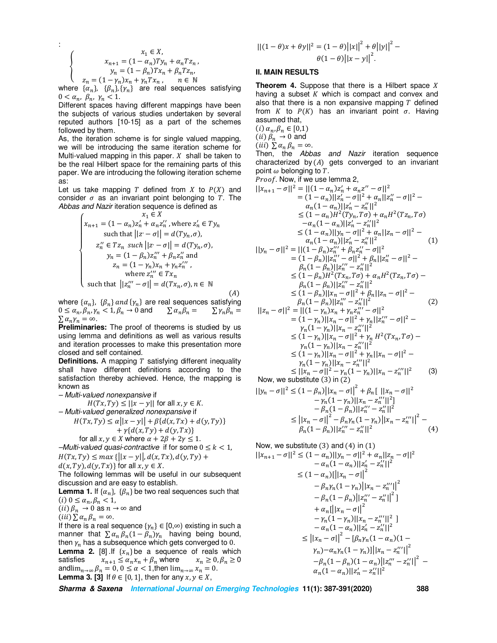$$
\begin{cases}\nx_1 \in X, \\
x_{n+1} = (1 - \alpha_n)Ty_n + \alpha_n T z_n, \\
y_n = (1 - \beta_n)Tx_n + \beta_n T z_n, \\
z_n = (1 - \gamma_n)x_n + \gamma_n Tx_n, \quad n \in \mathbb{N}\n\end{cases}
$$

:

where  $\{\alpha_n\}$ ,  $\{\beta_n\}$ ,  $\{\gamma_n\}$  are real sequences satisfying  $0 < \alpha_n$ ,  $\beta_n$ ,  $\gamma_n < 1$ .

Different spaces having different mappings have been the subjects of various studies undertaken by several reputed authors [10-15] as a part of the schemes followed by them.

As, the iteration scheme is for single valued mapping, we will be introducing the same iteration scheme for Multi-valued mapping in this paper.  $X$  shall be taken to be the real Hilbert space for the remaining parts of this paper. We are introducing the following iteration scheme as:

Let us take mapping T defined from X to  $P(X)$  and consider  $\sigma$  as an invariant point belonging to T. The *Abbas and Nazir* iteration sequence is defined as

$$
\begin{cases}\nx_1 \in X \\
x_{n+1} = (1 - \alpha_n)z'_n + \alpha_n z''_n, \text{ where } z'_n \in Ty_n \\
\text{ such that } ||z' - \sigma|| = d(Ty_n, \sigma), \\
z''_n \in Tz_n \text{ such } ||z' - \sigma|| = d(Ty_n, \sigma), \\
y_n = (1 - \beta_n)z''_n + \beta_n z''_n \text{ and } \\
z_n = (1 - \gamma_n)x_n + \gamma_n z'''_n, \\
\text{ where } z'''_n \in Tx_n \\
\text{ such that } ||z'''_n - \sigma|| = d(Tx_n, \sigma), n \in \mathbb{N}\n\end{cases}
$$

where  $\{\alpha_n\}$ ,  $\{\beta_n\}$  and  $\{\gamma_n\}$  are real sequences satisfying  $0 \leq \alpha_n, \beta_n, \gamma_n < 1, \beta_n \to 0$  and  $\sum \alpha_n \beta_n = \sum \gamma_n \beta_n = 0$  $\sum \alpha_n \gamma_n = \infty$ .

**Preliminaries:** The proof of theorems is studied by us using lemma and definitions as well as various results and iteration processes to make this presentation more closed and self contained.

**Definitions.** A mapping  $T$  satisfying different inequality shall have different definitions according to the satisfaction thereby achieved. Hence, the mapping is known as

*– Multi-valued nonexpansive* if

 $H(Tx, Ty) \leq ||x - y||$  for all  $x, y \in K$ .

*– Multi-valued generalized nonexpansive* if

$$
H(Tx, Ty) \le \alpha ||x - y|| + \beta \{d(x, Tx) + d(y, Ty)\} + \gamma \{d(x, Ty) + d(y, Tx)\}
$$

for all 
$$
x, y \in X
$$
 where  $\alpha + 2\beta + 2\gamma \le 1$ .

 $-Multi-value$ *d quasi-contractive* if for some  $0 \leq k < 1$ ,  $H(Tx, Ty) \leq max \{|x - y|, d(x, Tx), d(y, Ty) +$  $d(x, Ty), d(y, Tx)$  for all  $x, y \in X$ .

The following lemmas will be useful in our subsequent discussion and are easy to establish.

**Lemma 1.** If  $\{\alpha_n\}$ ,  $\{\beta_n\}$  be two real sequences such that (*i*)  $0 \leq \alpha_n, \beta_n < 1$ ,

(ii) 
$$
\beta_n \to 0
$$
 as  $n \to \infty$  and

$$
(iii) \sum \alpha_n \beta_n = \infty.
$$

If there is a real sequence  $\{\gamma_n\} \in [0,\infty)$  existing in such a manner that  $\sum \alpha_n \beta_n (1 - \beta_n) \gamma_n$  having being bound, then  $y_n$  has a subsequence which gets converged to 0.

**Lemma 2.** [8] .If  $\{x_n\}$  be a sequence of reals which satisfies  $x_{n+1} \leq \alpha_n x_n + \beta_n$  where  $x_n \geq 0, \beta_n \geq 0$  $x_{n+1} \leq \alpha_n x_n + \beta_n$  where andli $m_{n\to\infty} \beta_n = 0, 0 \le \alpha < 1$ , then  $\lim_{n\to\infty} x_n = 0$ . **Lemma 3. [3]** If  $\theta \in [0, 1]$ , then for any  $x, y \in X$ ,

$$
||(1 - \theta)x + \theta y||^{2} = (1 - \theta)||x||^{2} + \theta ||y||^{2} - \theta(1 - \theta)||x - y||^{2}.
$$

## **II. MAIN RESULTS**

**Theorem 4.** Suppose that there is a Hilbert space X having a subset  $K$  which is compact and convex and also that there is a non expansive mapping  $T$  defined from K to  $P(K)$  has an invariant point  $\sigma$ . Having assumed that,

 $(i)$   $\alpha_n, \beta_n \in [0,1)$  $(ii)$   $\beta_n \rightarrow 0$  and

 $(iii)$   $\sum \alpha_n \beta_n = \infty$ .

Then, the *Abbas and Nazir* iteration sequence characterized by  $(A)$  gets converged to an invariant point  $\omega$  belonging to  $T.$ 

Proof. Now, if we use lemma 2,

$$
||x_{n+1} - \sigma||^2 = ||(1 - \alpha_n)z'_n + \alpha_n z'' - \sigma||^2
$$
  
\n
$$
= (1 - \alpha_n)||z'_n - \sigma||^2 + \alpha_n||z''_n - \sigma||^2 - \alpha_n(1 - \alpha_n)||z'_n - z''_n||^2
$$
  
\n
$$
\leq (1 - \alpha_n)H^2(Ty_n, T\sigma) + \alpha_nH^2(Tz_n, T\sigma)
$$
  
\n
$$
- \alpha_n(1 - \alpha_n)||z'_n - z''_n||^2
$$
  
\n
$$
\leq (1 - \alpha_n)||y_n - \sigma||^2 + \alpha_n||z_n - \sigma||^2 - \alpha_n(1 - \alpha_n)||z'_n - z''_n||^2
$$
  
\n
$$
||y_n - \sigma||^2 = ||(1 - \beta_n)z''_n + \beta_n z''_n - \sigma||^2
$$
  
\n
$$
= (1 - \beta_n)||z''_n - \sigma||^2 + \beta_n||z''_n - \sigma||^2 - \beta_n(1 - \beta_n)||z''_n - \sigma||^2 - \beta_n(1 - \beta_n)||z''_n - z''_n||^2
$$
  
\n
$$
\leq (1 - \beta_n)||z''_n - z''_n||^2
$$
  
\n
$$
\leq (1 - \beta_n)||z''_n - z''_n||^2
$$
  
\n
$$
\leq (1 - \beta_n)||z''_n - z''_n||^2
$$
  
\n
$$
= \beta_n(1 - \beta_n)||z''_n - z''_n||^2
$$
  
\n
$$
= \beta_n(1 - \beta_n)||z''_n - z''_n||^2
$$
  
\n
$$
= (1 - \gamma_n)||x_n - \sigma||^2 + \gamma_n||z''_n - \sigma||^2 - \gamma_n(1 - \gamma_n)||x_n - z''_n||^2
$$
  
\n
$$
\leq (1 - \gamma_n)||x_n - z''_n||^2
$$
  
\n
$$
\leq (1 - \gamma_n)||x_n - z''_n||^2
$$
  
\n
$$
\leq (1 - \gamma_n)||x_n - z''_n||^2
$$
  
\n
$$
\leq (1 - \gamma_n)||x_n - z''_n||^2
$$
  
\n
$$
\leq (1 - \
$$

$$
||y_n - \sigma||^2 \le (1 - \beta_n) ||x_n - \sigma||^2 + \beta_n [||x_n - \sigma||^2
$$
  
\t\t\t
$$
- \gamma_n (1 - \gamma_n) ||x_n - z_n'''||^2 ]
$$
  
\t\t\t
$$
- \beta_n (1 - \beta_n) ||z_n''' - z_n'''||^2
$$
  
\t\t\t
$$
\le ||x_n - \sigma||^2 - \beta_n \gamma_n (1 - \gamma_n) ||x_n - z_n'''||^2 - \beta_n (1 - \beta_n) ||z_n''' - z_n'''||^2
$$
  
(4)

Now, we substitute (3) and (4) in (1)<br> $||x_{n+1} - \sigma||^2 < (1 - \alpha_n)||y_n - \sigma||^2 + \alpha$ 

$$
||x_{n+1} - \sigma||^2 \le (1 - \alpha_n)||y_n - \sigma||^2 + \alpha_n||z_n - \sigma||^2
$$
  
\n
$$
- \alpha_n(1 - \alpha_n)||z_n - z_n''||^2
$$
  
\n
$$
\le (1 - \alpha_n)[||x_n - \sigma||^2
$$
  
\n
$$
- \beta_n y_n(1 - y_n)||x_n - z_n''||^2
$$
  
\n
$$
- \beta_n(1 - \beta_n)||z_n'' - z_n''||^2]
$$
  
\n
$$
+ \alpha_n[||x_n - \sigma||^2
$$
  
\n
$$
- \gamma_n(1 - \gamma_n)||x_n - z_n'''||^2]
$$
  
\n
$$
- \alpha_n(1 - \alpha_n)||z_n' - z_n'''||^2
$$
  
\n
$$
\le ||x_n - \sigma||^2 - [\beta_n y_n(1 - \alpha_n)(1 - \gamma_n)(1 - \gamma_n) - \alpha_n y_n(1 - \gamma_n)||x_n - z_n'''||^2
$$
  
\n
$$
- \beta_n(1 - \beta_n)(1 - \alpha_n)||z_n'' - z_n''||^2
$$
  
\n
$$
- \alpha_n(1 - \alpha_n)||z_n' - z_n'''||^2
$$

*Sharma & Saxena International Journal on Emerging Technologies* **11(1): 387-391(2020) 388**

 $(A)$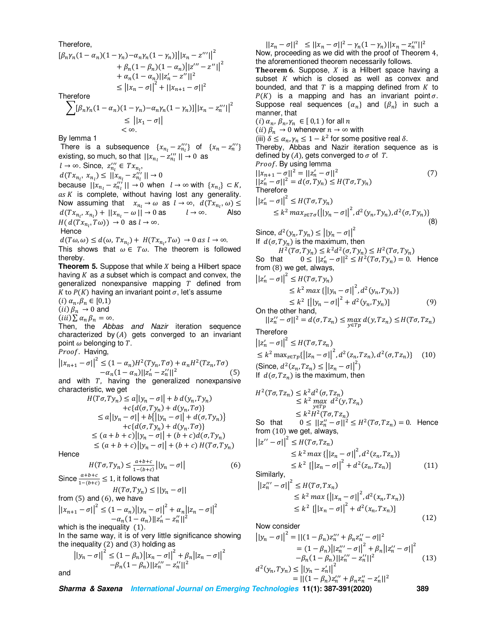#### Therefore,

$$
[\beta_n \gamma_n (1 - \alpha_n)(1 - \gamma_n) - \alpha_n \gamma_n (1 - \gamma_n)] ||x_n - z''||^2
$$
  
+  $\beta_n (1 - \beta_n)(1 - \alpha_n)||z'' - z''||^2$   
+  $\alpha_n (1 - \alpha_n)||z'_n - z''||^2$   
 $\le ||x_n - \sigma||^2 + ||x_{n+1} - \sigma||^2$   
Therefore

Therefore

$$
\sum_{n} [\beta_n \gamma_n (1 - \alpha_n)(1 - \gamma_n) - \alpha_n \gamma_n (1 - \gamma_n)] ||x_n - z_n'''||^2
$$
  
\n
$$
\leq ||x_1 - \sigma||
$$
  
\n
$$
< \infty.
$$

By lemma 1

There is a subsequence  $\{x_{n_l} - z_{n_l}^{\prime\prime\prime}\}$  of  $\{x_n - z_n^{\prime\prime\prime}\}$ existing, so much, so that  $||x_{n_l} - z_{n_l}^{\prime\prime\prime}|| \rightarrow 0$  as

 $l \rightarrow \infty$ . Since,  $z_{n_l}^{\prime\prime\prime} \in Tx_{n_l}$ ,

$$
d(Tx_{n_l}, x_{n_l}) \leq ||x_{n_l} - z_{n_l}'''|| \to 0
$$

because  $||x_{n_l} - z''_{n_l}|| \to 0$  when  $l \to \infty$  with  $\{x_{n_l}\} \subset K$ ,  $as K$  is complete, without having lost any generality. Now assuming that  $x_{n_l} \to \omega$  as  $l \to \infty$ ,  $d(Tx_{n_l}, \omega) \le$  $d(Tx_{n_l}, x_{n_l}) + ||x_{n_l} - \omega|| \rightarrow 0$  as  $l \rightarrow \infty$ . Also  $H(d(Tx_{n_l}, T\omega)) \to 0 \text{ as } l \to \infty.$ Hence

 $d(T\omega,\omega) \leq d(\omega, Tx_{n_l}) + H(Tx_{n_l}, T\omega) \rightarrow 0$  as  $l \rightarrow \infty$ .

This shows that  $\omega \in T\omega$ . The theorem is followed thereby.

**Theorem 5.** Suppose that while  $X$  being a Hilbert space having  $K$  as  $a$  subset which is compact and convex, the generalized nonexpansive mapping  $T$  defined from K to  $P(K)$  having an invariant point  $\sigma$ , let's assume

 $(i)$   $\alpha_n, \beta_n \in [0,1)$ (*ii*)  $\beta_n \to 0$  and

 $(iii)\sum \alpha_n \beta_n = \infty$ .

Then, the *Abbas and Nazir* iteration sequence characterized by  $(A)$  gets converged to an invariant point  $\omega$  belonging to  $T.$ 

*Proof*. Having,

$$
||x_{n+1} - \sigma||^2 \le (1 - \alpha_n)H^2(Ty_n, T\sigma) + \alpha_n H^2(Tz_n, T\sigma)
$$
  
- $\alpha_n (1 - \alpha_n) ||z'_n - z''_n||^2$  (5)  
and with  $T$  having a principal noncomponities

and with  $T$ , having the generalized nonexpansive characteristic, we get  $H(T)$  $\mathbf{H}$  $\sim$   $\sim$ 

$$
H(T\sigma, Ty_n) \le a||y_n - \sigma|| + b \, d(y_n, Ty_n)
$$
  
+ $c\{d(\sigma, Ty_n) + d(y_n, T\sigma)\}$   
 $\le a||y_n - \sigma|| + b\{||y_n - \sigma|| + d(\sigma, Ty_n)\}$   
+ $c\{d(\sigma, Ty_n) + d(y_n, T\sigma)\}$   
 $\le (a + b + c)||y_n - \sigma|| + (b + c)d(\sigma, Ty_n)$   
 $\le (a + b + c)||y_n - \sigma|| + (b + c) H(T\sigma, Ty_n)$ 

Hence

$$
H(T\sigma, Ty_n) \le \frac{a+b+c}{1-(b+c)} \left| |y_n - \sigma| \right| \tag{6}
$$

Since  $\frac{a+b+c}{1-(b+c)} \le 1$ , it follows that

from (5) and (6), we have  

$$
H(T\sigma, Ty_n) \le ||y_n - \sigma||
$$

$$
||x_{n+1} - \sigma||^2 \le (1 - \alpha_n) ||y_n - \sigma||^2 + \alpha_n ||z_n - \sigma||^2
$$
  

$$
-\alpha_n (1 - \alpha_n) ||z_n' - z_n''||^2
$$

which is the inequality  $(1)$ .

In the same way, it is of very little significance showing the inequality  $(2)$  and  $(3)$  holding as

$$
||y_n - \sigma||^2 \le (1 - \beta_n) ||x_n - \sigma||^2 + \beta_n ||z_n - \sigma||^2
$$
  
-  $\beta_n (1 - \beta_n) ||z_n'' - z_n''||^2$ 

and

 $||z_n - \sigma||^2 \le ||x_n - \sigma||^2 - \gamma_n (1 - \gamma_n) ||x_n - z_n''||^2$ Now, proceeding as we did with the proof of Theorem 4, the aforementioned theorem necessarily follows.

**Theorem 6.** Suppose,  $X$  is a Hilbert space having a subset  $K$  which is closed as well as convex and bounded, and that  $T$  is a mapping defined from  $K$  to  $P(K)$  is a mapping and has an invariant point  $\sigma$ . Suppose real sequences  $\{\alpha_n\}$  and  $\{\beta_n\}$  in such a manner, that

(*i*)  $\alpha_n$ ,  $\beta_n$ ,  $\gamma_n \in [0,1)$  for all n (*ii*)  $\beta_n \to 0$  whenever  $n \to \infty$  with

(iii)  $\delta \leq \alpha_n, \gamma_n \leq 1 - k^2$  for some positive real  $\delta$ .

Thereby, Abbas and Nazir iteration sequence as is defined by  $(A)$ , gets converged to  $\sigma$  of T.

Proof. By using lemma

$$
||x_{n+1} - \sigma||^2 = ||z'_n - \sigma||^2
$$
  
\n
$$
||z'_n - \sigma||^2 = d(\sigma, Ty_n) \le H(T\sigma, Ty_n)
$$
  
\nTherefore

$$
\begin{aligned} \left| |z'_n - \sigma| \right|^2 &\le H(T\sigma, Ty_n) \\ &\le k^2 \max_{z \in T\sigma} \{ \left| |y_n - \sigma| \right|^2, d^2(y_n, Ty_n), d^2(\sigma, Ty_n) \} \end{aligned} \tag{8}
$$

Since,  $d^2(y_n, Ty_n) \le ||y_n - \sigma||^2$ If  $d(\sigma, Ty_n)$  is the maximum, then

 $H^2(T\sigma, Ty_n) \leq k^2 d^2(\sigma, Ty_n) \leq H^2(T\sigma, Ty_n)$ 

So that  $0 \leq ||z'_n - \sigma||^2 \leq H^2(T\sigma, Ty_n) = 0$ . Hence from  $(8)$  we get, always,

$$
||z'_{n} - \sigma||^{2} \leq H(T\sigma, Ty_{n})
$$
  
\n
$$
\leq k^{2} \max \{ ||y_{n} - \sigma||^{2}, d^{2}(y_{n}, Ty_{n}) \}
$$
  
\n
$$
\leq k^{2} [||y_{n} - \sigma||^{2} + d^{2}(y_{n}, Ty_{n})]
$$
  
\nOn the other hand, (9)

 $||z''_n - \sigma||^2 = d(\sigma, Tz_n) \le \max_{y \in Tp} d(y, Tz_n) \le H(T\sigma, Tz_n)$  $T$ 

Therefore  
\n
$$
||z'_n - \sigma||^2 \leq H(T\sigma, Tz_n)
$$
\n
$$
\leq k^2 \max_{z \in T_p} \{| |z_n - \sigma| |^2, d^2(z_n, Tz_n), d^2(\sigma, Tz_n) \} \tag{10}
$$
\n(Since,  $d^2(z_n, Tz_n) \leq ||z_n - \sigma||^2$ )  
\nIf  $d(\sigma, Tz_n)$  is the maximum, then

$$
H2(T\sigma, Tzn) \le k2 d2(\sigma, Tzn)
$$
  
\n
$$
\le k2 \max_{y \in Tp} d2(y, Tzn)
$$
  
\n
$$
< k2H2(T\sigma, Tzn)
$$

 $\leq k^2 H^2(T\sigma, Tz_n)$ So that  $0 \leq ||z''_n - \sigma||^2 \leq H^2(T\sigma, Tz_n) = 0$ . Hence from  $(10)$  we get, always,

$$
||z'' - \sigma||^2 \le H(T\sigma, Tz_n)
$$
  
\n
$$
\le k^2 \max \{ ||z_n - \sigma||^2, d^2(z_n, Tz_n) \}
$$
  
\n
$$
\le k^2 [||z_n - \sigma||^2 + d^2(z_n, Tz_n)]
$$
\n(11)

Similarly,

$$
\begin{aligned} \left| |z_n''' - \sigma| \right|^2 &\le H(T\sigma, Tx_n) \\ &\le k^2 \max \left\{ \left| |x_n - \sigma| \right|^2, d^2(x_n, Tx_n) \right\} \\ &\le k^2 \left[ \left| |x_n - \sigma| \right|^2 + d^2(x_n, Tx_n) \right] \end{aligned} \tag{12}
$$

Now consider

$$
||y_n - \sigma||^2 = ||(1 - \beta_n)z_n''' + \beta_n z_n'' - \sigma||^2
$$
  
\n
$$
= (1 - \beta_n) ||z_n''' - \sigma||^2 + \beta_n ||z_n'' - \sigma||^2
$$
  
\n
$$
-\beta_n (1 - \beta_n) ||z_n''' - z_n''||^2
$$
  
\n
$$
d^2(y_n, Ty_n) \le ||y_n - z_n'||^2
$$
  
\n
$$
= ||(1 - \beta_n)z_n''' + \beta_n z_n''' - z_n'||^2
$$

*Sharma & Saxena International Journal on Emerging Technologies* **11(1): 387-391(2020) 389**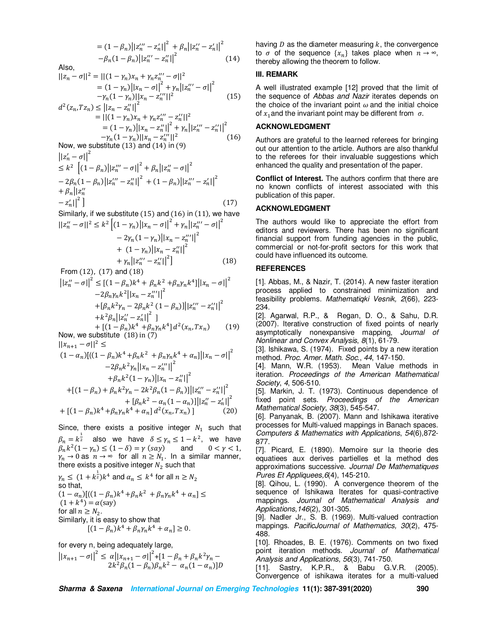$$
= (1 - \beta_n) ||z_n''' - z_n'||^2 + \beta_n ||z_n'' - z_n'||^2
$$
  

$$
-\beta_n (1 - \beta_n) ||z_n''' - z_n''||^2
$$
 (14)

Also,

$$
||z_n - \sigma||^2 = ||(1 - \gamma_n)x_n + \gamma_n z_n^{"'} - \sigma||^2
$$
  
=  $(1 - \gamma_n) ||x_n - \sigma||^2 + \gamma_n ||z_n^{"'} - \sigma||^2$   
 $-\gamma_n (1 - \gamma_n) ||x_n - z_n^{"'}||^2$  (15)

$$
d^{2}(z_{n},Tz_{n}) \leq ||z_{n} - z_{n}^{"}||^{2}
$$
  
=  $||(1 - \gamma_{n})x_{n} + \gamma_{n}z_{n}^{"} - z_{n}^{"}||^{2}$   
=  $(1 - \gamma_{n})||x_{n} - z_{n}^{"}||^{2} + \gamma_{n}||z_{n}^{"} - z_{n}^{"}||^{2}$   
 $- \gamma_{n}(1 - \gamma_{n})||x_{n} - z_{n}^{"}||^{2}$  (16)

Now, we substitute (13) and (14) in (9)  
\n
$$
||z'_n - \sigma||^2
$$
\n
$$
< k^2 \left[ (1 - \beta_n) ||z'''_n - \sigma||^2 + \beta_n ||z'''_n - \sigma||^2 \right]
$$

$$
\leq k^{2} \left[ (1 - \beta_{n}) ||z_{n}''' - \sigma||^{2} + \beta_{n} ||z_{n}''' - \sigma||^{2} - 2\beta_{n} (1 - \beta_{n}) ||z_{n}''' - z_{n}''||^{2} + (1 - \beta_{n}) ||z_{n}''' - z_{n}'||^{2} - z_{n}' ||^{2} \right]
$$
\n
$$
- |z_{n}''|^{2} \left[ (17) - 2\beta_{n} ||z_{n}''' - z_{n}' ||^{2} \right]
$$

Similarly, if we substitute (15) and (16) in (11), we have  
\n
$$
||z''_n - \sigma||^2 \le k^2 \left[ (1 - \gamma_n) ||x_n - \sigma||^2 + \gamma_n ||z'''_n - \sigma||^2 - 2\gamma_n (1 - \gamma_n) ||x_n - z'''_n||^2 + (1 - \gamma_n) ||x_n - z'''_n||^2 + \gamma_n ||z'''_n - z'''_n||^2 \right]
$$
\n(18)

From (12), (17) and (18)  
\n
$$
||z''_n - \sigma||^2 \le [(1 - \beta_n)k^4 + \beta_n k^2 + \beta_n \gamma_n k^4] ||x_n - \sigma||^2
$$
\n
$$
-2\beta_n \gamma_n k^2 ||x_n - z''_n||^2
$$
\n
$$
+ [\beta_n k^2 \gamma_n - 2\beta_n k^2 (1 - \beta_n)] ||z''_n - z''_n||^2
$$
\n
$$
+ k^2 \beta_n ||z''_n - z'_n||^2 ]
$$

+ 
$$
[(1 - \beta_n)k^4 + \beta_n \gamma_n k^4] d^2(x_n, Tx_n)
$$
 (19)  
Now, we substitute (18) in (7)

 $||x_{n+1} - \sigma||^2 \le$ 

$$
(1 - \alpha_n)[((1 - \beta_n)k^4 + \beta_n k^2 + \beta_n \gamma_n k^4 + \alpha_n]||x_n - \sigma||^2
$$
  
\n
$$
-2\beta_n k^2 \gamma_n ||x_n - z_n''||^2
$$
  
\n
$$
+ \beta_n k^2 (1 - \gamma_n) ||x_n - z_n''||^2
$$
  
\n
$$
+ [(1 - \beta_n) + \beta_n k^2 \gamma_n - 2k^2 \beta_n (1 - \beta_n)]] ||z_n''' - z_n''||^2
$$
  
\n
$$
+ [\beta_n k^2 - \alpha_n (1 - \alpha_n)] ||z_n''' - z_n'||^2
$$
  
\n
$$
+ [(1 - \beta_n)k^4 + \beta_n \gamma_n k^4 + \alpha_n] d^2 (x_n, T x_n)]
$$
 (20)

Since, there exists a positive integer  $N_1$  such that  $\beta_n = k^{\frac{1}{2}}$  also we have  $\delta \leq \gamma_n \leq 1 - k^2$ , we have  $\beta_n k^2 (1 - \gamma_n) \le (1 - \delta) = \gamma \, (say)$  and  $0 < \gamma < 1$ ,  $y_n \to 0$  as  $n \to \infty$  for all  $n \ge N_1$ . In a similar manner, there exists a positive integer  $N_2$  such that

$$
\gamma_n \leq (1 + k^{\frac{1}{2}})k^4
$$
 and  $\alpha_n \leq k^4$  for all  $n \geq N_2$   
so that,  
 $(1 - \alpha_n)[((1 - \beta_n)k^4 + \beta_n k^2 + \beta_n \gamma_n k^4 + \alpha_n] \leq$   
 $(1 + k^4) = \alpha(\text{say})$   
for all  $n \geq N_2$ .  
Similarly, it is easy to show that  
 $[(1 - \beta_n)k^4 + \beta_n \gamma_n k^4 + \alpha_n] \geq 0$ .

for every n, being adequately large,

 $||x_{n+1} - \sigma||^2 \leq \alpha ||x_{n+1} - \sigma||^2 + [1 - \beta_n + \beta_n k^2 y_n 2k^2\beta_n(1-\beta_n)\beta_n k^2 - \alpha_n(1-\alpha_n)]D$  having  $D$  as the diameter measuring  $k$ , the convergence to  $\sigma$  of the sequence  $\{x_n\}$  takes place when  $n \to \infty$ , thereby allowing the theorem to follow.

#### **III. REMARK**

A well illustrated example [12] proved that the limit of the sequence of *Abbas and Nazir* iterates depends on the choice of the invariant point  $\omega$  and the initial choice of  $x_1$  and the invariant point may be different from  $\sigma$ .

### **ACKNOWLEDGMENT**

Authors are grateful to the learned referees for bringing out our attention to the article. Authors are also thankful to the referees for their invaluable suggestions which enhanced the quality and presentation of the paper.

**Conflict of Interest.** The authors confirm that there are no known conflicts of interest associated with this publication of this paper.

#### **ACKNOWLEDGMENT**

The authors would like to appreciate the effort from editors and reviewers. There has been no significant financial support from funding agencies in the public, commercial or not-for-profit sectors for this work that could have influenced its outcome.

## **REFERENCES**

[1]. Abbas, M., & Nazir, T. (2014). A new faster iteration process applied to constrained minimization and feasibility problems. *Mathematiqki Vesnik, 2*(66), 223- 234.

[2]. Agarwal, R.P., & Regan, D. O., & Sahu, D.R. (2007). Iterative construction of fixed points of nearly asymptotically nonexpansive mapping, *Journal of Nonlinear and Convex Analysis*, *8*(1), 61-79.

[3]. Ishikawa, S. (1974). Fixed points by a new iteration method. *Proc. Amer. Math. Soc*., *44*, 147-150.

[4]. Mann, W.R. (1953). Mean Value methods in iteration. *Proceedings of the American Mathematical Society*, *4*, 506-510.

[5]. Markin, J. T. (1973). Continuous dependence of fixed point sets. *Proceedings of the American Mathematical Society*, *38*(3), 545-547.

[6]. Panyanak, B. (2007). Mann and Ishikawa iterative processes for Multi-valued mappings in Banach spaces. *Computers & Mathematics with Applications*, *54*(6),872- 877.

[7]. Picard, E. (1890). Memoire sur la theorie des equatiees aux derives partielles et la method des approximations successive. *Journal De Mathematiques Pures Et Appliquees,6*(4), 145-210.

[8]. Qihou, L. (1990). A convergence theorem of the sequence of Ishikawa Iterates for quasi-contractive mappings. *Journal of Mathematical Analysis and Applications,146*(2), 301-305.

[9]. Nadler Jr., S. B. (1969). Multi-valued contraction mappings. *PacificJournal of Mathematics, 30*(2), 475- 488.

[10]. Rhoades, B. E. (1976). Comments on two fixed point iteration methods. *Journal of Mathematical Analysis and Applications*, *56*(3), 741-750.

[11]. Sastry, K.P.R., & Babu G.V.R. (2005). Convergence of ishikawa iterates for a multi-valued